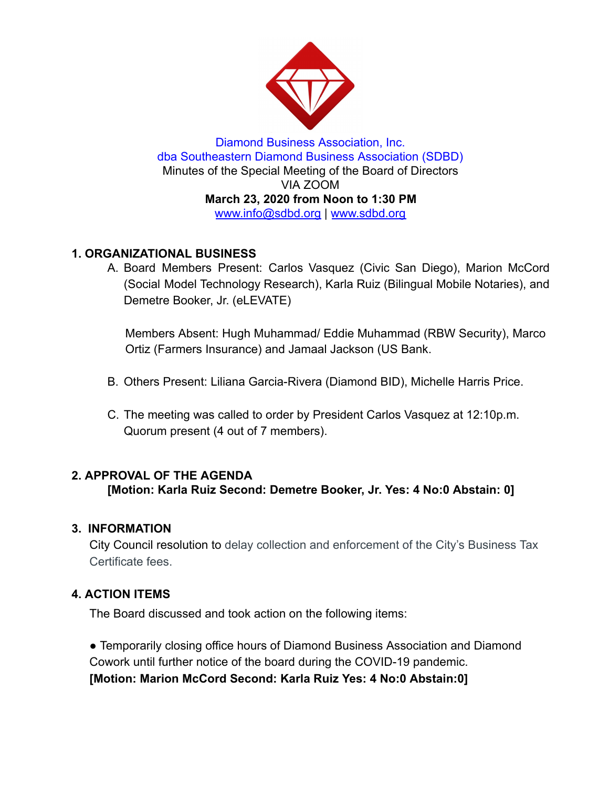

Diamond Business Association, Inc. dba Southeastern Diamond Business Association (SDBD) Minutes of the Special Meeting of the Board of Directors VIA ZOOM **March 23, 2020 from Noon to 1:30 PM**  www.info@sdbd.org | [www.sdbd.org](http://www.sdbd.org/)

# **1. ORGANIZATIONAL BUSINESS**

A. Board Members Present: Carlos Vasquez (Civic San Diego), Marion McCord (Social Model Technology Research), Karla Ruiz (Bilingual Mobile Notaries), and Demetre Booker, Jr. (eLEVATE)

Members Absent: Hugh Muhammad/ Eddie Muhammad (RBW Security), Marco Ortiz (Farmers Insurance) and Jamaal Jackson (US Bank.

- B. Others Present: Liliana Garcia-Rivera (Diamond BID), Michelle Harris Price.
- C. The meeting was called to order by President Carlos Vasquez at 12:10p.m. Quorum present (4 out of 7 members).

#### **2. APPROVAL OF THE AGENDA**

**[Motion: Karla Ruiz Second: Demetre Booker, Jr. Yes: 4 No:0 Abstain: 0]** 

# **3. INFORMATION**

City Council resolution to delay collection and enforcement of the City's Business Tax Certificate fees.

# **4. ACTION ITEMS**

The Board discussed and took action on the following items:

● Temporarily closing office hours of Diamond Business Association and Diamond Cowork until further notice of the board during the COVID-19 pandemic. **[Motion: Marion McCord Second: Karla Ruiz Yes: 4 No:0 Abstain:0]**